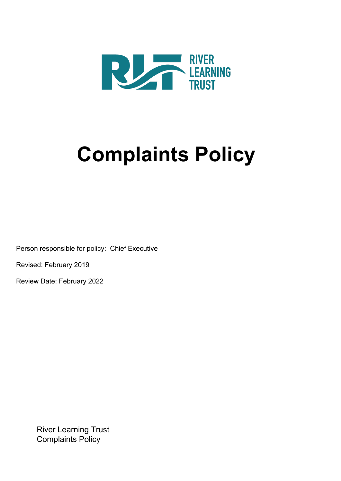

# **Complaints Policy**

Person responsible for policy: Chief Executive

Revised: February 2019

Review Date: February 2022

River Learning Trust Complaints Policy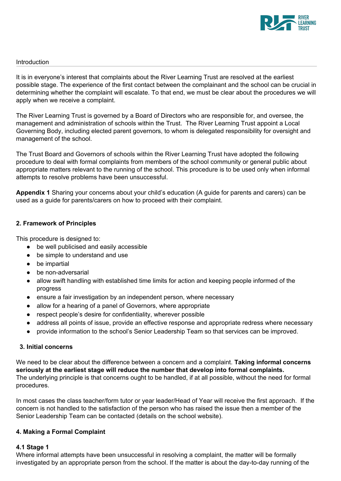

#### **Introduction**

It is in everyone's interest that complaints about the River Learning Trust are resolved at the earliest possible stage. The experience of the first contact between the complainant and the school can be crucial in determining whether the complaint will escalate. To that end, we must be clear about the procedures we will apply when we receive a complaint.

The River Learning Trust is governed by a Board of Directors who are responsible for, and oversee, the management and administration of schools within the Trust. The River Learning Trust appoint a Local Governing Body, including elected parent governors, to whom is delegated responsibility for oversight and management of the school.

The Trust Board and Governors of schools within the River Learning Trust have adopted the following procedure to deal with formal complaints from members of the school community or general public about appropriate matters relevant to the running of the school. This procedure is to be used only when informal attempts to resolve problems have been unsuccessful.

**Appendix 1** Sharing your concerns about your child's education (A guide for parents and carers) can be used as a guide for parents/carers on how to proceed with their complaint.

## **2. Framework of Principles**

This procedure is designed to:

- be well publicised and easily accessible
- be simple to understand and use
- be impartial
- be non-adversarial
- allow swift handling with established time limits for action and keeping people informed of the progress
- ensure a fair investigation by an independent person, where necessary
- allow for a hearing of a panel of Governors, where appropriate
- respect people's desire for confidentiality, wherever possible
- address all points of issue, provide an effective response and appropriate redress where necessary
- provide information to the school's Senior Leadership Team so that services can be improved.

# **3. Initial concerns**

We need to be clear about the difference between a concern and a complaint. **Taking informal concerns seriously at the earliest stage will reduce the number that develop into formal complaints.** The underlying principle is that concerns ought to be handled, if at all possible, without the need for formal procedures.

In most cases the class teacher/form tutor or year leader/Head of Year will receive the first approach. If the concern is not handled to the satisfaction of the person who has raised the issue then a member of the Senior Leadership Team can be contacted (details on the school website).

## **4. Making a Formal Complaint**

## **4.1 Stage 1**

Where informal attempts have been unsuccessful in resolving a complaint, the matter will be formally investigated by an appropriate person from the school. If the matter is about the day-to-day running of the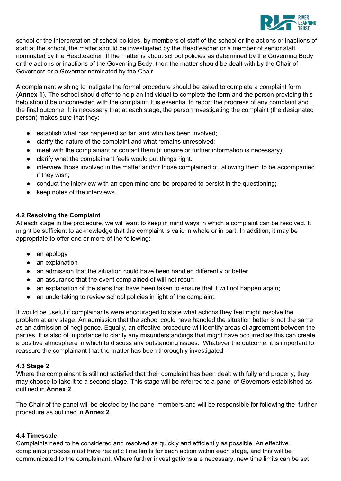

school or the interpretation of school policies, by members of staff of the school or the actions or inactions of staff at the school, the matter should be investigated by the Headteacher or a member of senior staff nominated by the Headteacher. If the matter is about school policies as determined by the Governing Body or the actions or inactions of the Governing Body, then the matter should be dealt with by the Chair of Governors or a Governor nominated by the Chair.

A complainant wishing to instigate the formal procedure should be asked to complete a complaint form (**Annex 1**). The school should offer to help an individual to complete the form and the person providing this help should be unconnected with the complaint. It is essential to report the progress of any complaint and the final outcome. It is necessary that at each stage, the person investigating the complaint (the designated person) makes sure that they:

- establish what has happened so far, and who has been involved;
- clarify the nature of the complaint and what remains unresolved;
- meet with the complainant or contact them (if unsure or further information is necessary);
- clarify what the complainant feels would put things right.
- interview those involved in the matter and/or those complained of, allowing them to be accompanied if they wish;
- conduct the interview with an open mind and be prepared to persist in the questioning;
- keep notes of the interviews.

# **4.2 Resolving the Complaint**

At each stage in the procedure, we will want to keep in mind ways in which a complaint can be resolved. It might be sufficient to acknowledge that the complaint is valid in whole or in part. In addition, it may be appropriate to offer one or more of the following:

- an apology
- an explanation
- an admission that the situation could have been handled differently or better
- an assurance that the event complained of will not recur;
- an explanation of the steps that have been taken to ensure that it will not happen again;
- an undertaking to review school policies in light of the complaint.

It would be useful if complainants were encouraged to state what actions they feel might resolve the problem at any stage. An admission that the school could have handled the situation better is not the same as an admission of negligence. Equally, an effective procedure will identify areas of agreement between the parties. It is also of importance to clarify any misunderstandings that might have occurred as this can create a positive atmosphere in which to discuss any outstanding issues. Whatever the outcome, it is important to reassure the complainant that the matter has been thoroughly investigated.

## **4.3 Stage 2**

Where the complainant is still not satisfied that their complaint has been dealt with fully and properly, they may choose to take it to a second stage. This stage will be referred to a panel of Governors established as outlined in **Annex 2**.

The Chair of the panel will be elected by the panel members and will be responsible for following the further procedure as outlined in **Annex 2**.

## **4.4 Timescale**

Complaints need to be considered and resolved as quickly and efficiently as possible. An effective complaints process must have realistic time limits for each action within each stage, and this will be communicated to the complainant. Where further investigations are necessary, new time limits can be set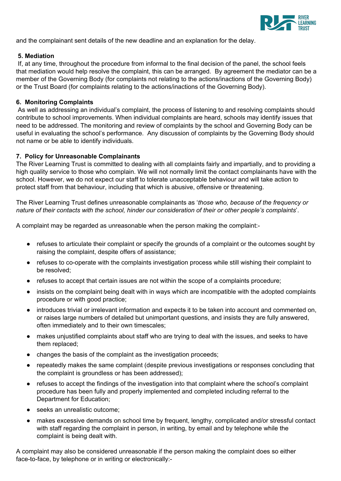

and the complainant sent details of the new deadline and an explanation for the delay.

## **5. Mediation**

If, at any time, throughout the procedure from informal to the final decision of the panel, the school feels that mediation would help resolve the complaint, this can be arranged. By agreement the mediator can be a member of the Governing Body (for complaints not relating to the actions/inactions of the Governing Body) or the Trust Board (for complaints relating to the actions/inactions of the Governing Body).

## **6. Monitoring Complaints**

As well as addressing an individual's complaint, the process of listening to and resolving complaints should contribute to school improvements. When individual complaints are heard, schools may identify issues that need to be addressed. The monitoring and review of complaints by the school and Governing Body can be useful in evaluating the school's performance. Any discussion of complaints by the Governing Body should not name or be able to identify individuals.

## **7. Policy for Unreasonable Complainants**

The River Learning Trust is committed to dealing with all complaints fairly and impartially, and to providing a high quality service to those who complain. We will not normally limit the contact complainants have with the school. However, we do not expect our staff to tolerate unacceptable behaviour and will take action to protect staff from that behaviour, including that which is abusive, offensive or threatening.

The River Learning Trust defines unreasonable complainants as '*those who, because of the frequency or nature of their contacts with the school, hinder our consideration of their or other people's complaints*'.

A complaint may be regarded as unreasonable when the person making the complaint:-

- refuses to articulate their complaint or specify the grounds of a complaint or the outcomes sought by raising the complaint, despite offers of assistance;
- refuses to co-operate with the complaints investigation process while still wishing their complaint to be resolved;
- refuses to accept that certain issues are not within the scope of a complaints procedure;
- insists on the complaint being dealt with in ways which are incompatible with the adopted complaints procedure or with good practice;
- introduces trivial or irrelevant information and expects it to be taken into account and commented on, or raises large numbers of detailed but unimportant questions, and insists they are fully answered, often immediately and to their own timescales;
- makes unjustified complaints about staff who are trying to deal with the issues, and seeks to have them replaced;
- changes the basis of the complaint as the investigation proceeds;
- repeatedly makes the same complaint (despite previous investigations or responses concluding that the complaint is groundless or has been addressed);
- refuses to accept the findings of the investigation into that complaint where the school's complaint procedure has been fully and properly implemented and completed including referral to the Department for Education;
- seeks an unrealistic outcome:
- makes excessive demands on school time by frequent, lengthy, complicated and/or stressful contact with staff regarding the complaint in person, in writing, by email and by telephone while the complaint is being dealt with.

A complaint may also be considered unreasonable if the person making the complaint does so either face-to-face, by telephone or in writing or electronically:-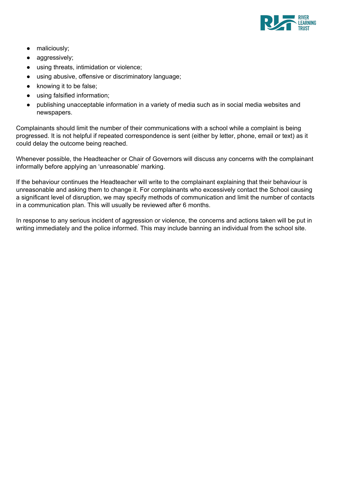

- maliciously;
- aggressively;
- using threats, intimidation or violence;
- using abusive, offensive or discriminatory language;
- knowing it to be false;
- using falsified information;
- publishing unacceptable information in a variety of media such as in social media websites and newspapers.

Complainants should limit the number of their communications with a school while a complaint is being progressed. It is not helpful if repeated correspondence is sent (either by letter, phone, email or text) as it could delay the outcome being reached.

Whenever possible, the Headteacher or Chair of Governors will discuss any concerns with the complainant informally before applying an 'unreasonable' marking.

If the behaviour continues the Headteacher will write to the complainant explaining that their behaviour is unreasonable and asking them to change it. For complainants who excessively contact the School causing a significant level of disruption, we may specify methods of communication and limit the number of contacts in a communication plan. This will usually be reviewed after 6 months.

In response to any serious incident of aggression or violence, the concerns and actions taken will be put in writing immediately and the police informed. This may include banning an individual from the school site.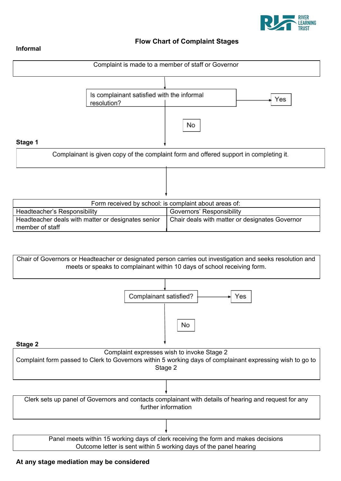

# **Flow Chart of Complaint Stages**

#### **Informal**



Clerk sets up panel of Governors and contacts complainant with details of hearing and request for any further information

> Panel meets within 15 working days of clerk receiving the form and makes decisions Outcome letter is sent within 5 working days of the panel hearing

#### **At any stage mediation may be considered**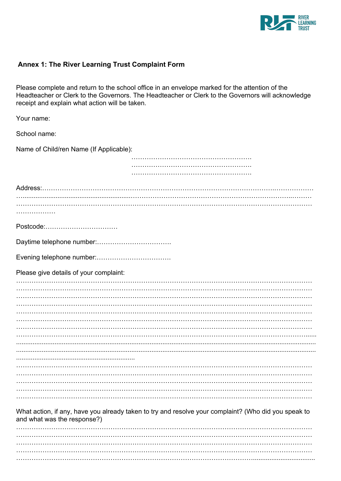

# Annex 1: The River Learning Trust Complaint Form

Please complete and return to the school office in an envelope marked for the attention of the Headteacher or Clerk to the Governors. The Headteacher or Clerk to the Governors will acknowledge receipt and explain what action will be taken.

| Your name:                              |                                                                                                      |
|-----------------------------------------|------------------------------------------------------------------------------------------------------|
| School name:                            |                                                                                                      |
| Name of Child/ren Name (If Applicable): |                                                                                                      |
|                                         |                                                                                                      |
|                                         |                                                                                                      |
|                                         |                                                                                                      |
|                                         |                                                                                                      |
|                                         |                                                                                                      |
|                                         |                                                                                                      |
| Postcode:                               |                                                                                                      |
|                                         |                                                                                                      |
|                                         |                                                                                                      |
| Please give details of your complaint:  |                                                                                                      |
|                                         |                                                                                                      |
|                                         |                                                                                                      |
|                                         |                                                                                                      |
|                                         |                                                                                                      |
|                                         |                                                                                                      |
|                                         |                                                                                                      |
|                                         |                                                                                                      |
|                                         |                                                                                                      |
|                                         |                                                                                                      |
|                                         |                                                                                                      |
|                                         |                                                                                                      |
|                                         |                                                                                                      |
|                                         |                                                                                                      |
|                                         |                                                                                                      |
|                                         |                                                                                                      |
| and what was the response?)             | What action, if any, have you already taken to try and resolve your complaint? (Who did you speak to |
|                                         |                                                                                                      |
|                                         |                                                                                                      |
|                                         |                                                                                                      |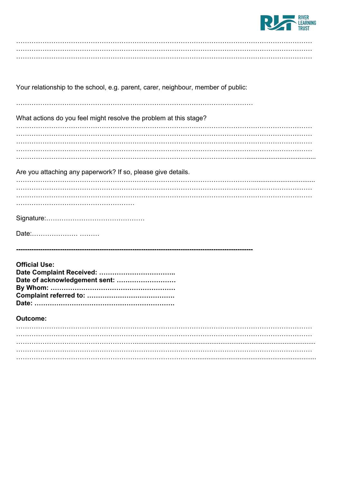

| Your relationship to the school, e.g. parent, carer, neighbour, member of public: |
|-----------------------------------------------------------------------------------|
| What actions do you feel might resolve the problem at this stage?                 |
|                                                                                   |
|                                                                                   |
| Are you attaching any paperwork? If so, please give details.                      |
|                                                                                   |
|                                                                                   |
|                                                                                   |
|                                                                                   |
|                                                                                   |
| <b>Official Use:</b><br>Date of acknowledgement sent:                             |
|                                                                                   |
| <b>Outcome:</b>                                                                   |
|                                                                                   |
|                                                                                   |
|                                                                                   |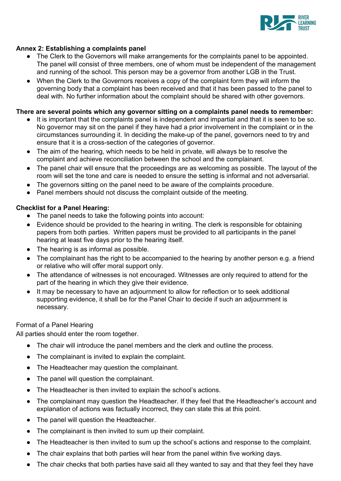

# **Annex 2: Establishing a complaints panel**

- The Clerk to the Governors will make arrangements for the complaints panel to be appointed. The panel will consist of three members, one of whom must be independent of the management and running of the school. This person may be a governor from another LGB in the Trust.
- When the Clerk to the Governors receives a copy of the complaint form they will inform the governing body that a complaint has been received and that it has been passed to the panel to deal with. No further information about the complaint should be shared with other governors.

# **There are several points which any governor sitting on a complaints panel needs to remember:**

- It is important that the complaints panel is independent and impartial and that it is seen to be so. No governor may sit on the panel if they have had a prior involvement in the complaint or in the circumstances surrounding it. In deciding the make-up of the panel, governors need to try and ensure that it is a cross-section of the categories of governor.
- The aim of the hearing, which needs to be held in private, will always be to resolve the complaint and achieve reconciliation between the school and the complainant.
- The panel chair will ensure that the proceedings are as welcoming as possible. The layout of the room will set the tone and care is needed to ensure the setting is informal and not adversarial.
- The governors sitting on the panel need to be aware of the complaints procedure.
- Panel members should not discuss the complaint outside of the meeting.

# **Checklist for a Panel Hearing:**

- The panel needs to take the following points into account:
- Evidence should be provided to the hearing in writing. The clerk is responsible for obtaining papers from both parties. Written papers must be provided to all participants in the panel hearing at least five days prior to the hearing itself.
- The hearing is as informal as possible.
- The complainant has the right to be accompanied to the hearing by another person e.g. a friend or relative who will offer moral support only.
- The attendance of witnesses is not encouraged. Witnesses are only required to attend for the part of the hearing in which they give their evidence.
- It may be necessary to have an adjournment to allow for reflection or to seek additional supporting evidence, it shall be for the Panel Chair to decide if such an adjournment is necessary.

# Format of a Panel Hearing

All parties should enter the room together.

- The chair will introduce the panel members and the clerk and outline the process.
- The complainant is invited to explain the complaint.
- The Headteacher may question the complainant.
- The panel will question the complainant.
- The Headteacher is then invited to explain the school's actions.
- The complainant may question the Headteacher. If they feel that the Headteacher's account and explanation of actions was factually incorrect, they can state this at this point.
- The panel will question the Headteacher.
- The complainant is then invited to sum up their complaint.
- The Headteacher is then invited to sum up the school's actions and response to the complaint.
- The chair explains that both parties will hear from the panel within five working days.
- The chair checks that both parties have said all they wanted to say and that they feel they have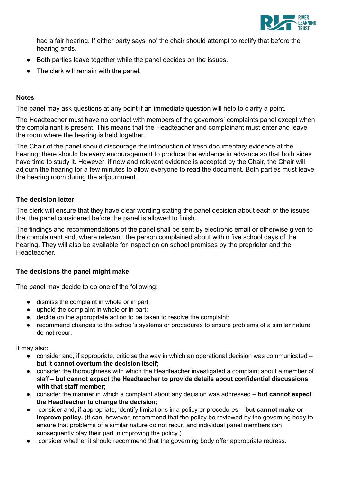

had a fair hearing. If either party says 'no' the chair should attempt to rectify that before the hearing ends.

- Both parties leave together while the panel decides on the issues.
- The clerk will remain with the panel.

# **Notes**

The panel may ask questions at any point if an immediate question will help to clarify a point.

The Headteacher must have no contact with members of the governors' complaints panel except when the complainant is present. This means that the Headteacher and complainant must enter and leave the room where the hearing is held together.

The Chair of the panel should discourage the introduction of fresh documentary evidence at the hearing; there should be every encouragement to produce the evidence in advance so that both sides have time to study it. However, if new and relevant evidence is accepted by the Chair, the Chair will adjourn the hearing for a few minutes to allow everyone to read the document. Both parties must leave the hearing room during the adjournment.

# **The decision letter**

The clerk will ensure that they have clear wording stating the panel decision about each of the issues that the panel considered before the panel is allowed to finish.

The findings and recommendations of the panel shall be sent by electronic email or otherwise given to the complainant and, where relevant, the person complained about within five school days of the hearing. They will also be available for inspection on school premises by the proprietor and the Headteacher.

## **The decisions the panel might make**

The panel may decide to do one of the following:

- dismiss the complaint in whole or in part;
- uphold the complaint in whole or in part;
- decide on the appropriate action to be taken to resolve the complaint;
- recommend changes to the school's systems or procedures to ensure problems of a similar nature do not recur.

It may also**:**

- $\bullet$  consider and, if appropriate, criticise the way in which an operational decision was communicated  $$ **but it cannot overturn the decision itself;**
- consider the thoroughness with which the Headteacher investigated a complaint about a member of staff **– but cannot expect the Headteacher to provide details about confidential discussions with that staff member**;
- consider the manner in which a complaint about any decision was addressed **but cannot expect the Headteacher to change the decision;**
- consider and, if appropriate, identify limitations in a policy or procedures **but cannot make or improve policy.** (It can, however, recommend that the policy be reviewed by the governing body to ensure that problems of a similar nature do not recur, and individual panel members can subsequently play their part in improving the policy.)
- consider whether it should recommend that the governing body offer appropriate redress.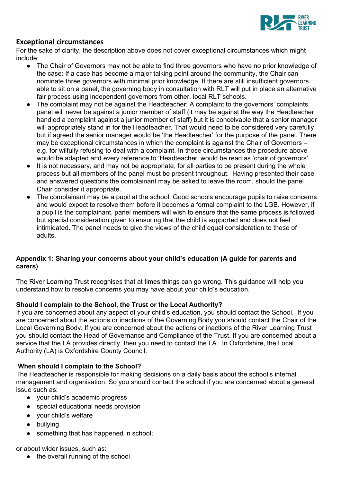

# **Exceptional circumstances**

For the sake of clarity, the description above does not cover exceptional circumstances which might include:

- The Chair of Governors may not be able to find three governors who have no prior knowledge of the case: If a case has become a major talking point around the community, the Chair can nominate three governors with minimal prior knowledge. If there are still insufficient governors able to sit on a panel, the governing body in consultation with RLT will put in place an alternative fair process using independent governors from other, local RLT schools.
- The complaint may not be against the Headteacher: A complaint to the governors' complaints panel will never be against a junior member of staff (it may be against the way the Headteacher handled a complaint against a junior member of staff) but it is conceivable that a senior manager will appropriately stand in for the Headteacher. That would need to be considered very carefully but if agreed the senior manager would be 'the Headteacher' for the purpose of the panel. There may be exceptional circumstances in which the complaint is against the Chair of Governors – e.g. for wilfully refusing to deal with a complaint. In those circumstances the procedure above would be adapted and every reference to 'Headteacher' would be read as 'chair of governors'.
- It is not necessary, and may not be appropriate, for all parties to be present during the whole process but all members of the panel must be present throughout. Having presented their case and answered questions the complainant may be asked to leave the room, should the panel Chair consider it appropriate.
- The complainant may be a pupil at the school: Good schools encourage pupils to raise concerns and would expect to resolve them before it becomes a formal complaint to the LGB. However, if a pupil is the complainant, panel members will wish to ensure that the same process is followed but special consideration given to ensuring that the child is supported and does not feel intimidated. The panel needs to give the views of the child equal consideration to those of adults.

# **Appendix 1: Sharing your concerns about your child's education (A guide for parents and carers)**

The River Learning Trust recognises that at times things can go wrong. This guidance will help you understand how to resolve concerns you may have about your child's education.

# **Should I complain to the School, the Trust or the Local Authority?**

If you are concerned about any aspect of your child's education, you should contact the School. If you are concerned about the actions or inactions of the Governing Body you should contact the Chair of the Local Governing Body. If you are concerned about the actions or inactions of the River Learning Trust you should contact the Head of Governance and Compliance of the Trust. If you are concerned about a service that the LA provides directly, then you need to contact the LA. In Oxfordshire, the Local Authority (LA) is Oxfordshire County Council.

# **When should I complain to the School?**

The Headteacher is responsible for making decisions on a daily basis about the school's internal management and organisation. So you should contact the school if you are concerned about a general issue such as:

- your child's academic progress
- special educational needs provision
- your child's welfare
- bullying
- something that has happened in school;

or about wider issues, such as:

● the overall running of the school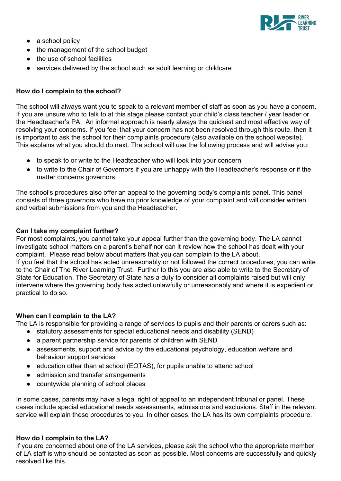

- a school policy
- the management of the school budget
- the use of school facilities
- services delivered by the school such as adult learning or childcare

# **How do I complain to the school?**

The school will always want you to speak to a relevant member of staff as soon as you have a concern. If you are unsure who to talk to at this stage please contact your child's class teacher / year leader or the Headteacher's PA. An informal approach is nearly always the quickest and most effective way of resolving your concerns. If you feel that your concern has not been resolved through this route, then it is important to ask the school for their complaints procedure (also available on the school website). This explains what you should do next. The school will use the following process and will advise you:

- to speak to or write to the Headteacher who will look into your concern
- to write to the Chair of Governors if you are unhappy with the Headteacher's response or if the matter concerns governors.

The school's procedures also offer an appeal to the governing body's complaints panel. This panel consists of three governors who have no prior knowledge of your complaint and will consider written and verbal submissions from you and the Headteacher.

# **Can I take my complaint further?**

For most complaints, you cannot take your appeal further than the governing body. The LA cannot investigate school matters on a parent's behalf nor can it review how the school has dealt with your complaint. Please read below about matters that you can complain to the LA about. If you feel that the school has acted unreasonably or not followed the correct procedures, you can write to the Chair of The River Learning Trust. Further to this you are also able to write to the Secretary of State for Education. The Secretary of State has a duty to consider all complaints raised but will only intervene where the governing body has acted unlawfully or unreasonably and where it is expedient or practical to do so.

## **When can I complain to the LA?**

The LA is responsible for providing a range of services to pupils and their parents or carers such as:

- statutory assessments for special educational needs and disability (SEND)
- a parent partnership service for parents of children with SEND
- assessments, support and advice by the educational psychology, education welfare and behaviour support services
- education other than at school (EOTAS), for pupils unable to attend school
- admission and transfer arrangements
- countywide planning of school places

In some cases, parents may have a legal right of appeal to an independent tribunal or panel. These cases include special educational needs assessments, admissions and exclusions. Staff in the relevant service will explain these procedures to you. In other cases, the LA has its own complaints procedure.

## **How do I complain to the LA?**

If you are concerned about one of the LA services, please ask the school who the appropriate member of LA staff is who should be contacted as soon as possible. Most concerns are successfully and quickly resolved like this.